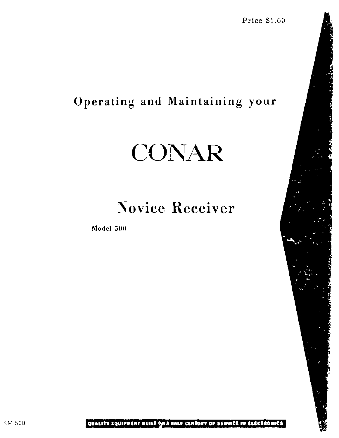Price \$1.00

# Operating and Maintaining your

# CONAR

# Novice Receiver

Model 500

# KM 500 **QUALITY EQUIPMENT BUILT GHA HALF CENTURY OF SERVICE IN ELECTRONICS**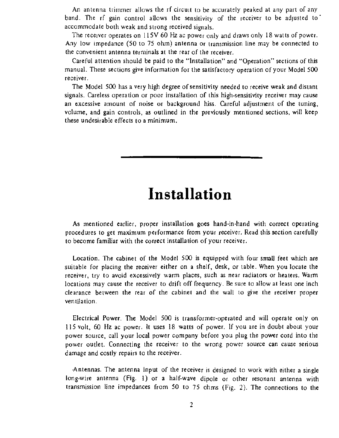An antenna trimmer allows the rf circuit to be accurately peaked at any part of any band. The rf gain control allows the sensitivity of the receiver to be adjusted to accommodate both weak and strong received signals.

The receiver operates on 115V 60 Hz ac power only and draws only 18 watts of power. Any low impedance (50 to 75 ohm) antenna or transmission line may be connected to the convenient antenna terminals at the rear of the receiver.

The Model 500 has a very high degree of sensitivity needed to receive weak and distant signals. Careless operation or poor installation of this high-sensitivity receiver may cause an excessive amount of noise or background hiss. Careful adjustment of the tuning, volume, and gain controls, as outlined in the previously mentioned sections, will keep these undesirable effects to a minimum. control allows the ser<br>weak and strong received<br>ates on 115V 60 Hz ac pe<br>e (50 to 75 ohm) anteni<br>nna terminals at the rear<br>should be paid to the "I<br>ons give information for<br>las a very high degree of s<br>ration or poor instal

Careful attention should be paid to the "Installation" and "Operation" sections of this manual. These sections give information for the satisfactory operation of your Model 500 receiver.

# Installation

As mentioned earlier, proper installation goes hand-in-hand with correct operating procedures to get maximum performance from your receiver. Read this section carefully to become familiar with the correct installation of your receiver.

Location. The cabinet of the Model 500 is equipped with four small feet which are suitable for placing the receiver either on a shelf, desk, or table. When you locate the receiver, try to avoid excessively warm places, such as near radiators or heaters. Warm locations may cause the receiver to drift off frequency. Be sure to allow at least one inch clearance between the rear of the cabinet and the wall to give the receiver proper ventilation.

Electrical Power. The Model 500 is transformer-operated and will operate only on 115 volt, 60 Hz ac power. It uses 18 watts of power. If you are in doubt about your power source, call your local power company before you plug the power cord into the power outlet. Connecting the receiver to the wrong power source can cause serious damage and costly repairs to the receiver.

Antennas. The antenna input of the receiver is designed to work with either a single long-wire antenna (Fig. 1) or a half-wave dipole or other resonant antenna with transmission line impedances from 50 to 75 ohms (Fig. 2). The connections to the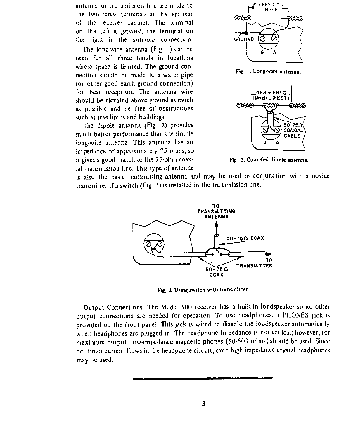antenna or transmission line are made to  $\Box$ 60 FEET OR the two screw terminals at the left rear  $\cos \theta$  LONGE of the receiver cabinet. The terminal on the left is *ground*, the terminal on the right is the *antenna* connection.

The long-wire antenna (Fig. 1) can be used for all three bands in locations where space is limited. The ground connection should be made to a water pipe (or other good earth ground connection) for best reception. The antenna wire should be elevated above ground as much  $\left[\text{[MHz]} + \text{[FEE]} \right]$ as possible and be free of obstructions  $\otimes$ such as tree limbs and buildings.

The dipole antenna (Fig. 2) provides much better performance than the simple long-wire antenna. This antenna has an impedance of approximately 75 ohms, so it gives a good match to the 75-ohm coax- Fig. 2. Coax-fed dipole antenna. ial transmission line. This type of antenna

ions. The Model 500 recess are needed for operationt panel. This jack is wive<br>plugged in. The heady<br>low-impedance magnetic<br>ows in the headphone circums. Output Connections. The Model 500 receiver has a built-in loudspeaker so no other output connections are needed for operation. To use headphones, a PHONES jack is provided on the front panel. This jack is wired to disable the loudspeaker automatically when headphones are plugged in. The headphone impedance is not critical; however, for maximum output, low-impedance magnetic phones (S0-500 ohms) should be used. Since no direct current flows in the headphone circuit, even high impedance crystal headphones may be used.

is also the basic transmitting antenna and may be used in conjunction with a novice transmitter if a switch (Fig. 3) is installed in the transmission line.



Fig. 1. Long-wire antenna.





Fig. 3. Using switch with transmitter.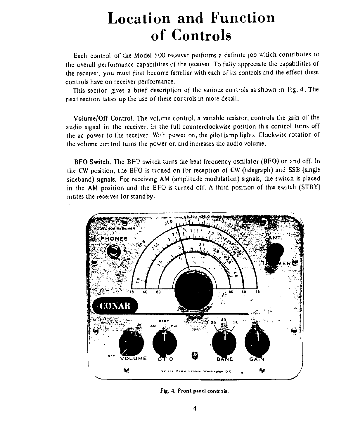# Location and Function of Controls

Each control of the Model S00 receiver performs a definite job which contributes to the overall performance capabilities of the receiver. To fully appreciate the capabilities of the receiver, you must first become familiar with each of its controls and the effect these controls have on receiver performance.

This section gives a brief description of the various controls as shown in Fig. 4. The next section takes up the use of these controls in more detail.

Volume/Off Control. The volume control, a variable resistor, controls the gain of the audio signal in the receiver. In the full counterclockwise position this control turns off the ac power to the receiver. With power on, the pilot lamp lights. Clockwise rotation of the volume control turns the power on and increases the audio volume.

BFO Switch. The BF $\odot$  switch turns the beat frequency oscillator (BFO) on and off. In the CW position, the BFO is turned on for reception of CW (telegraph) and SSB (single sideband) signals. For receiving AM (amplitude modulation) signals, the switch is placed in the AM position and the BFO is turned off. A third position of this switch (STBY) mutes the receiver for standby. capabilities of the receiver.<br>
Trist become familiar with early reproduced the variant point of the variative relation of the variative r. In the full countercloid eiver. With power on, the p<br>
s the power on and increases



Fig. 4. Front panel controls.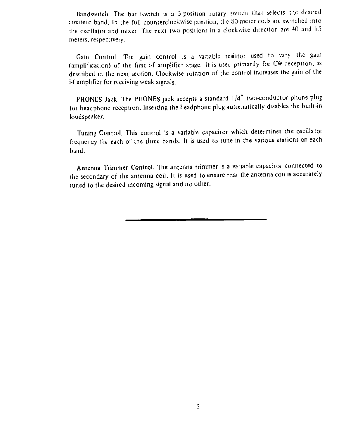Bandswitch. The ban Iswitch is a 3-position rotary switch that selects the desired amateur band, In the full counterclockwise position, the 80-meter coils are switched into the ascillator and mixer, The next two positions in a clockwise direction are 40 and 18 meters, respectively.

Gain Control. The gain control is a variable resistor used to vary the gain (amplification) of the first i-f amplifier stage. It is used primarily for CW reception, as described in the next section. Clockwise rotation of the control increases the gain of the i-f amplifier for receiving weak signals,

PHONES Jack. The PHONES jack accepts a standard 1/4" two-conductor phone plug for headphone reception. Inserting the headphone plug automatically disables the built-in loudspeaker.

Tuning Control, This control is a variable capacitor which determines the oscillator frequency for each of the three bands. It is used to tune in the various stations on each band.

Antenna Trimmer Control. The antenna trimmer is a vanable capacitor connected to the secondary of the antenna coil. It is used to ensure that the antenna coil is accurately tuned to the desired incoming signal and no other.

### $\mathsf{S}$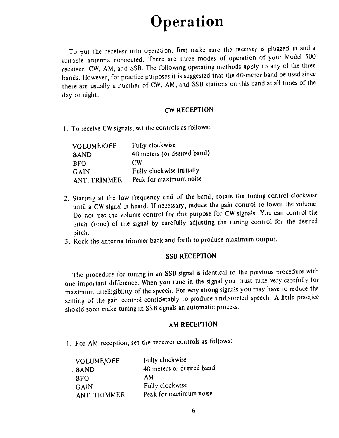# Operation

To put the receiver into operation, first make sure the receiver is plugged in and <sup>a</sup> suitable antenna connected. There are three modes of operation of your Model <sup>500</sup> receiver CW, AM, and SSB. The following operating methods apply to any of the three bands. However, for practice purposes it is suggested that the 40-meter band be used since there are usually a number of CW, AM, and SSB stations on this band at all times of the day or night.

### CW RECEPTION

1. To receive CW signals, set the controls as follows:

| VOLUME/OFF   | Fully clockwise             |
|--------------|-----------------------------|
| <b>BAND</b>  | 40 meters (or desired band) |
| <b>BFO</b>   | CW                          |
| GAIN         | Fully clockwise initially   |
| ANT. TRIMMER | Peak for maximum noise      |

- 2. Starting at the low frequency end of the band, rotate the tuning control clockwise until a CW signal is heard. If necessary, reduce the gain control to lower the volume. Do not use the volume control for this purpose for CW signals. You can control the pitch (tone) of the signal by carefully adjusting the tuning control for the desired pitch.
- 

3. Rock the antenna trimmer back and forth to produce maximum output.

### SSB RECEPTION

The procedure for tuning in an SSB signal is identical to the previous procedure with one important difference. When you tune in the signal you must tune very carefully for maximum intelligibility of the speech. For very strong signals you may have to reduce the setting of the gain control considerably to produce undistorted speech. A little practice should soon make tuning in SSB signals an automatic process.

### AM RECEPTION

1. For AM reception, set the receiver controls as follows:

| VOLUME/OFF   | Fully clockwise           |
|--------------|---------------------------|
| . BAND.      | 40 meters or desired band |
| <b>BFO</b>   | AM                        |
| GAIN         | Fully clockwise           |
| ANT. TRIMMER | Peak for maximum noise    |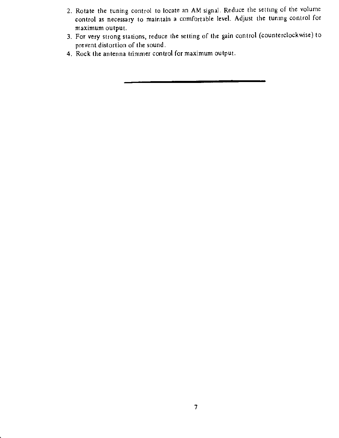- 2. Rotate the tuning control to locate an AM signal. Reduce the setting of the volume control as necessary to maintain a comfortable level. Adjust the tuning control for maximum output.
- 3. For very strong stations, reduce the setting of the gain control (counterclockwise) to prevent distortion of the sound.
- 4. Rock the antenna trimmer control for maximum output.

### 7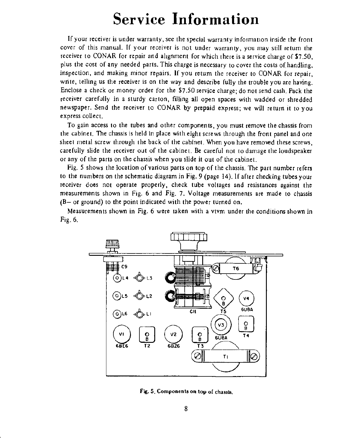# Service Information

If your receiver is under warranty, see the special warranty information inside the front cover of this manual. If your receiver is not under warranty, you may still return the teceiver to CONAR for repair and alignment for which there is a service charge of \$7.50, plus the cost of any needed parts. This charge is necessary to cover the costs of handling, inspection, and making minor repairs. If you retum the receiver to CONAR for repair, write, telling us the receiver is on the way and describe fully the trouble you are having. Enclose a check or money order for the \$7.50 service charge; do not send cash. Pack the receiver carefully in a sturdy carton, filling all open spaces with wadded or shredded newspaper. Send the receiver to CONAR by prepaid express; we will return it to you express collect. ost of any needed parts. This char, and making minor repairs. If young us the receiver is on the way a<br>check or money order for the \$7<br>check or money order for the \$7<br>arefully in a sturdy carton, filling.<br>Send the receiver

Fig. 5 shows the location of various parts on top of the chassis, The part number refers to the numbers on the schematic diagram in Fig. 9 (page 14). If after checking tubes your receiver does not operate properly, check tube voltages and resistances against the measurements shown in Fig. 6 and Fig. 7, Voltage measurements are made to chassis  $(B-$  or ground) to the point indicated with the power turned on.

To gain access to the tubes and other components, you must remove the chassis from the cabinet. The chassis is held in place with eight screws through the front panel and one sheet metal screw through the back of the cabinet. When you have removed these screws, carefully slide the receiver out of the cabinet. Be careful not to damage the loudspeaker or any of the parts on the chassis when you slide it out of the cabinet.

Measurements shown in Fig. 6 were taken with a vtvm under the conditions shown in Fig. 6.

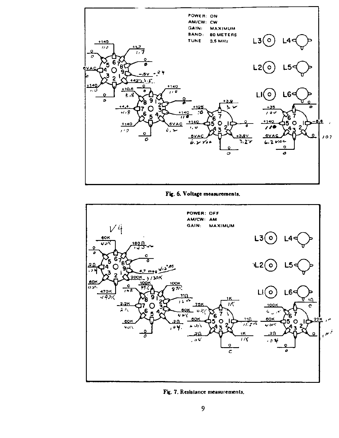

Fig. 6. Voltage measurements.

POWER: OFF AM/CW: AM GAIN; MAXIMUM  $13(0)$  $14d$ 60K



Fig. 7, Resislance measurements,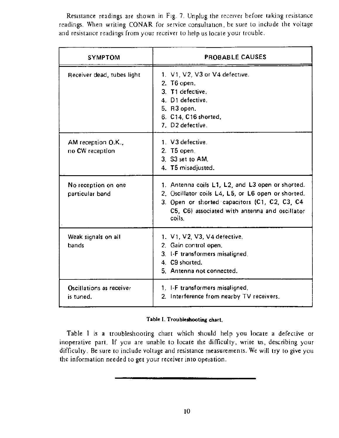Resistance readings are shown in Fig. 7, Unplug the receiver before taking resistance readings. When writing CONAR for service consultation, be sure to include the voltage and resistance readings from your receiver to heip us locate your trouble. Resistance readings are shortedings. When writing CON.<br>and resistance readings from y

| <b>SYMPTOM</b>                                              | PROBABLE CAUSES                                                                                                                                                                                                                                                          |
|-------------------------------------------------------------|--------------------------------------------------------------------------------------------------------------------------------------------------------------------------------------------------------------------------------------------------------------------------|
| Receiver dead, tubes light                                  | 1. V1, V2, V3 or V4 defective.<br>2. T <sub>6</sub> open.<br>3. T1 defective.<br>4. D1 defective.<br>5. R3 open.<br>6. C14, C16 shorted.<br>7. D2 defective.                                                                                                             |
| AM reception O.K.,<br>no CW reception                       | 1. V3 defective.<br>2. T5 open.<br>3. S3 set to AM.<br>4. T5 misadjusted.                                                                                                                                                                                                |
| No reception on one<br>particular band                      | 1. Antenna coils L1, L2, and L3 open or shorted.<br>2. Oscillator coils L4, L5, or L6 open or shorted.<br>3. Open or shorted capacitors (C1, C2, C3, C4<br>C5, C6) associated with antenna and oscillator<br>coils.                                                      |
| Weak signals on all<br>bands                                | 1. V1, V2, V3, V4 defective.<br>2. Gain control open.<br>3. I-F transformers misaligned,<br>4. C9 shorted.<br>5. Antenna not connected.                                                                                                                                  |
| Oscillations as receiver<br>is tuned.                       | 1. I-F transformers misaligned.<br>2. Interference from nearby TV receivers.                                                                                                                                                                                             |
|                                                             | Table I. Troubleshooting chart.                                                                                                                                                                                                                                          |
| the information needed to get your receiver into operation. | Table I is a troubleshooting chart which should help you locate a defective or<br>inoperative part. If you are unable to locate the difficulty, write us, describing your<br>difficulty. Be sure to include voltage and resistance measurements. We will try to give you |

### Table I. Troubleshooting chart,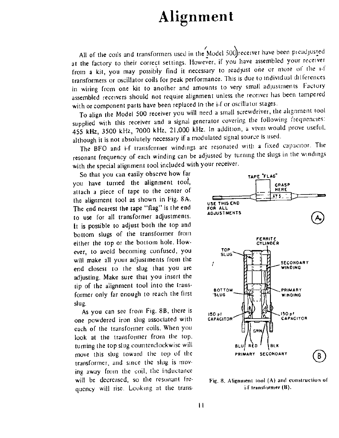# Alignment

All of the coils and transformers used in the Model 500 receiver have been pieadjusted at the factory to their correct settings. However. if you have assembled your receiver from a kit, you may possibly find it necessary to readjust one or more of the i-f transformers or oscillator coils for peak performance. This is due to individual dilferences in wiring from one kit to another and amounts to very small adjustments Factory assembled receivers should not require alignment unless the receiver has been tampered with or component parts have been replaced in the i-f or oscillator stages.

To align the Model 500 receiver you will need a small screwdriver, the alignment tool supplied with this receiver and a signal generator covering the following frequencies: <sup>455</sup>kHz, 3500 kHz, 7000 kHz, 21,000 kHz. In addition, a vivm would prove useful. although it is not absolutely necessary if a modulated signal source is used.

The BFO and i-f transformer windings are resonated with a fixed capacitor. The ric Dr C and 12 transformer waverings with the special alignment tool included with your receiver.

So that you can easily observe how far you have turned the alignment tool, attach a piece of tape to the center of the alignment tool as shown in Fig. 8A. The end nearest the tape "flag" is the end to use for all transformer adjustments. It is possible to adjust both the top and bottom slugs of the transformer from either the top or the bottom hole. How. ever, to avoid becoming confused, you will make all your adjustments from the end closest to the slug that you are adjusting. Make sure that you insert the tip of the alignment tool into the transformer only far enough to reach the first  $\frac{1}{2}$  series  $\frac{1}{2}$   $\frac{1}{2}$   $\frac{1}{2}$  winding slug. As you can see from Fig. 8B, there is  $\begin{bmatrix} 150 \text{ pF} \\ 150 \text{ pF} \\ 200 \text{ pF} \end{bmatrix}$  .  $\begin{bmatrix} 150 \text{ pF} \\ 150 \text{ pF} \\ 200 \text{ pF} \end{bmatrix}$  .  $\begin{bmatrix} 150 \text{ pF} \\ 200 \text{ pF} \\ 200 \text{ pF} \end{bmatrix}$  .  $\begin{bmatrix} 150 \text{ pF} \\ 200 \text{ pF} \\ 200 \text{$ one powdered iron slug associated with each of the transformer coils. When you look at the transformer from the top, turning the top slug counterclockwise will move this slug toward the top of the transformer, and since the slug is mpving away from the coil, the inductance will be decreased, so the resonant frequency will rise. Looking at the trans-



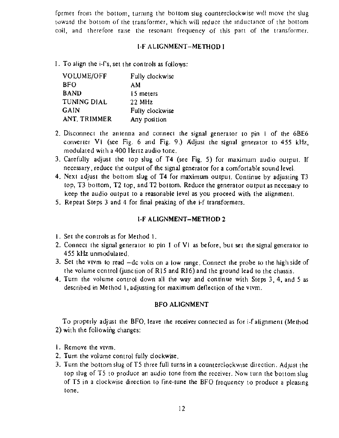former from the bottom, turning the bottom siug counterclockwise will move the slug teward the bottom of the transformer, which will reduce the inductance of the bottom coil, and therefore raise the resonant frequency of this part of the transformer.

### **L-F ALIGNMENT-METHOD I**

I. To align the i-fs, set the controls as follows:

| VOLUME/OFF         | Fully clockwise |
|--------------------|-----------------|
| <b>BFO</b>         | AM              |
| <b>BAND</b>        | 15 meters       |
| <b>TUNING DIAL</b> | 22 MHz          |
| GAIN               | Fully clockwise |
| ANT. TRIMMER       | Any position    |

- 2. Disconnect the antenna and connect the signal generator to pin | of the 6BE6 converter Vi (see Fig. 6 and Fig. 9.) Adjust the signal generator to 455 kHz, modulated with a 400 Hertz audio tone.
- 3. Carefully adjust the top slug of T4 (see Fig. 5) for maximum audio output. If necessary, reduce the output of the signal generator for a comfortable sound level.
- 4. Next adjust the bottom slug of T4 for maximum output. Continue by adjusting T3 top, T3 bottom, T2 top, and T2 bottom, Reduce the generator output as necessary to keep the audio output to a reasonable jevel as you proceed with the alignment.
- 5. Repeat Steps 3 and 4 for final peaking of the i-f transformers.

- 1. Remove the vivm.
- 2. Turn the volume control fully clockwise.
- 3. Turn the bottom slug of T5 three full turns in a counterclockwise direction. Adjust the top slug of TS to produce an audio tone from the receiver. Now turn the bottom slug of TS in a clockwise direction to fine-tune the BFO frequency to produce a pleasing tone.

### LF ALIGNMENT-METHOD 2

- $\mathsf{I}$ . Set the controls as for Method  $\mathsf{I}$ .
- 2. Connect the signal generator to pin I of VI as before, but set the signal generator to 455 kHz unmodulated.
- 3. Set the vivm to read —de volts on a low range. Connect the probe to the high side of the volume control Gunction of R15 and R16) and the ground lead to the chassis.
- 4, Turn the volume control down all the way and continue with Steps 3, 4, and 5 as described in Method 1, adjusting for maximum deflection of the vtvm.

### BFO ALIGNMENT

To properly adjust the BFO, leave the receiver connected as for i-f alignment (Method 2) with the following changes: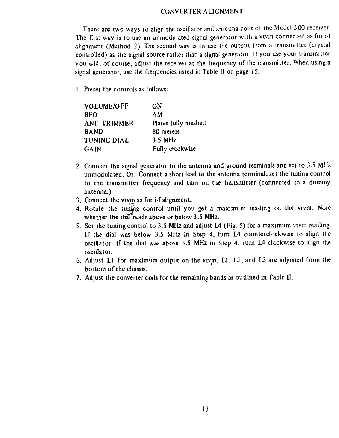### CONVERTER ALIGNMENT

There are two ways to align the oscillator and antenna coils of the Model 500 receiver. The first way is to use an unmodulated signal generator with a vtvm connected as for 1-1 alignment (Method 2). The second way is to use the output from a transmitter (crystal controlled) as the signal source rather than a signal generator. If you use your transmitter you will, of course, adjust the receiver at the frequency of the transmitter. When using a signal generator, use the frequencies listed in Table II on page 15.

I. Preset the controls as follows:

| ON                  |
|---------------------|
| AM                  |
| Plates fully meshed |
| 80 meters           |
| $3.5$ MHz           |
| Fully clockwise     |
|                     |

- 2. Connect the signal generator to the antenna and ground terminals and set to 3.5 MHz unmodulated. Or: Connect a short lead to the antenna terminal, set the tuning control to the transmitter frequency and turn on the transmitter (connected to a dummy antenna.)
- . Connect the vivm as for i-f alignment.
- 4, Rotate the tuning control until you get a maximum reading on the vivm. Note whether the dial reads above or below  $3.5$  MHz.
- 5. Set the tuning control to 3.5 MHz and adjust L4 (Fig. 5) for a maximum vtvm reading. If the dial was below 3.5 MHz in Step 4, turn L4 counterclockwise to align the oscillator. If the dial was above 3.5 MHz in Step 4, tum L4 clockwise to align the oscillator. 3. Connect the vtvm as for i-f alignment.<br>
4. Rotate the tuning control until you get a maximum reading on the<br>
whether the dial reads above or below 3.5 MHz.<br>
5. Set the tuning control to 3.5 MHz and adjust L4 (Fig. 5) f
- 6. Adjust LI for maximum output on the vtvm. LI, L2, and L3 are adjusted from the bottom of the chassis.
-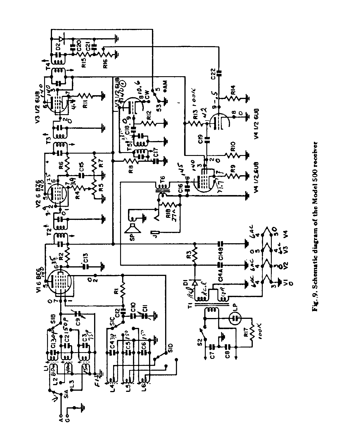

# Fig. 9. Schematic diagram of the Model 500 receiver Fig. 9. Schematic diagram of the Model 500 receiver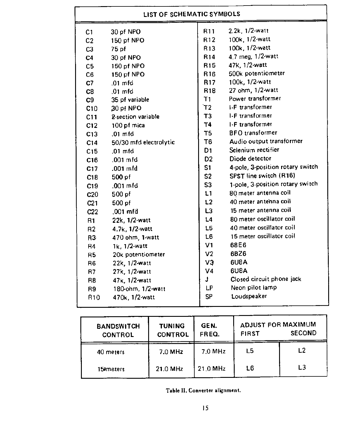| LIST OF SCHEMATIC SYMBOLS              |                                                                        |                 |                                |                                    |                       |  |
|----------------------------------------|------------------------------------------------------------------------|-----------------|--------------------------------|------------------------------------|-----------------------|--|
| C <sub>1</sub>                         | 30 pf NPO                                                              |                 | <b>R11</b>                     | 2.2k, 1/2-watt                     |                       |  |
| C <sub>2</sub>                         | 150 pf NPO                                                             |                 | R <sub>12</sub>                | 100k, 1/2-watt                     |                       |  |
| C <sub>3</sub>                         | $75$ pf                                                                |                 | R <sub>13</sub>                | 100k, 1/2-watt                     |                       |  |
| 30 pf NPO<br>C <sub>4</sub>            |                                                                        | R <sub>14</sub> | 4.7 meg, 1/2-watt              |                                    |                       |  |
| 150 pf NPO<br>C <sub>5</sub>           |                                                                        | R <sub>15</sub> | 47k, 1/2-watt                  |                                    |                       |  |
| 150 pf NPO<br>C6                       |                                                                        | R <sub>16</sub> | 500k potentiometer             |                                    |                       |  |
| C <sub>7</sub>                         | $.01 \text{ mfd}$                                                      |                 | R <sub>17</sub>                | $100k$ , $1/2$ -watt               |                       |  |
| C8                                     | $.01 \text{ mfd}$                                                      |                 | R <sub>18</sub>                | 27 ohm, 1/2-watt                   |                       |  |
| C9                                     | 35 pf variable                                                         |                 | T1                             | Power transformer                  |                       |  |
| C10                                    | 30 pf NPO                                                              |                 | <u>΄</u> γ2                    | I-F transformer                    |                       |  |
| C11                                    | 2-section variable                                                     |                 | T3                             | 1-F transformer                    |                       |  |
| C <sub>12</sub>                        | 100 pf mica                                                            |                 | Τ4                             | I-F transformer                    |                       |  |
| C13                                    | $.01 \text{ mfd}$                                                      |                 | T5                             | <b>BFO</b> transformer             |                       |  |
| C <sub>14</sub>                        | 50/30 mfd electrolytic                                                 |                 | T6                             | Audio output transformer           |                       |  |
| C <sub>15</sub>                        | $.01 \text{ mfd}$                                                      |                 | D <sub>1</sub>                 | Selenium rectifier                 |                       |  |
| C <sub>16</sub>                        | $.001 \mathrm{~mfd}$                                                   |                 | D <sub>2</sub>                 | Diode detector                     |                       |  |
| C17                                    | $.001 \text{ mfd}$                                                     |                 | S <sub>1</sub>                 | 4-pole, 3-position rotary switch   |                       |  |
| C18                                    | $500$ pf                                                               |                 | S <sub>2</sub>                 | SPST line switch (R16)             |                       |  |
| C19                                    | $.001 \text{ mfd}$                                                     |                 | S <sub>3</sub>                 | 1-pole, 3-position rotary switch   |                       |  |
| C <sub>20</sub>                        | $500$ pf                                                               |                 | L1                             |                                    | 80 meter antenna coil |  |
| C <sub>21</sub>                        | $500$ pf                                                               |                 | L <sub>2</sub>                 | 40 meter antenna coil              |                       |  |
|                                        | $.001$ mfd<br>C <sub>22</sub>                                          |                 | L3                             | 15 meter antenna coil              |                       |  |
| 22k, 1/2-watt<br>R1                    |                                                                        | L4              | 80 meter oscillator coil       |                                    |                       |  |
| $4.7k$ , $1/2$ -watt<br>R <sub>2</sub> |                                                                        | 15              | 40 meter oscillator coil       |                                    |                       |  |
| R3                                     | 470 ohm, 1-watt                                                        |                 |                                | 15 meter oscillator coil<br>L6     |                       |  |
| R <sub>4</sub>                         | $1k. 1/2$ -watt                                                        |                 | 68E6<br>V1                     |                                    |                       |  |
| R <sub>5</sub>                         | 20k potentiometer                                                      |                 | 6BZ6<br>V <sub>2</sub>         |                                    |                       |  |
| R <sub>6</sub>                         | 22k, 1/2-watt                                                          |                 | 6U8A<br>VЭ                     |                                    |                       |  |
|                                        | 27k, 1/2-watt<br><b>R7</b>                                             |                 | V <sub>4</sub>                 | 6U8A                               |                       |  |
| R <sub>8</sub>                         | $47k$ , 1/2-watt                                                       |                 | J                              | Closed circuit phone jack          |                       |  |
| R <sub>9</sub>                         | 180-ohm, 1/2-watt                                                      |                 | LP.                            | Neon pilot lamp                    |                       |  |
| R <sub>10</sub>                        | $470k$ , $1/2$ -watt                                                   |                 | <b>SP</b>                      | Loudspeaker                        |                       |  |
|                                        |                                                                        |                 |                                |                                    |                       |  |
|                                        | <b>TUNING</b><br><b>BANDSWITCH</b><br><b>CONTROL</b><br><b>CONTROL</b> |                 | GEN.<br>FREQ.                  | ADJUST FOR MAXIMUM<br><b>FIRST</b> | <b>SECOND</b>         |  |
|                                        | 40 meters                                                              | $7.0$ MHz       | 7.0 MHz                        | L <sub>5</sub>                     | L <sub>2</sub>        |  |
|                                        | 15 <sup>3</sup> meters                                                 | 21.0 MHz        | $21.0$ MHz                     | L6                                 | L3                    |  |
|                                        |                                                                        |                 | Table II. Converter alignment. |                                    |                       |  |
|                                        |                                                                        |                 | 15                             |                                    |                       |  |
|                                        |                                                                        |                 |                                |                                    |                       |  |

| <b>TUNING</b><br><b>CONTROL</b> | GEN.<br>FREQ. | <b>FIRST</b>   | <b>SECOND</b>                                        |
|---------------------------------|---------------|----------------|------------------------------------------------------|
| 7.0 MHz                         | 7.0 MHz       | L <sub>5</sub> | L2                                                   |
| 21.0 MHz                        | 21.0 MHz      | L <sub>6</sub> | L3                                                   |
|                                 |               |                |                                                      |
|                                 | 15            |                |                                                      |
|                                 |               |                |                                                      |
|                                 |               |                | ADJUST FOR MAXIMUM<br>Table II. Converter alignment. |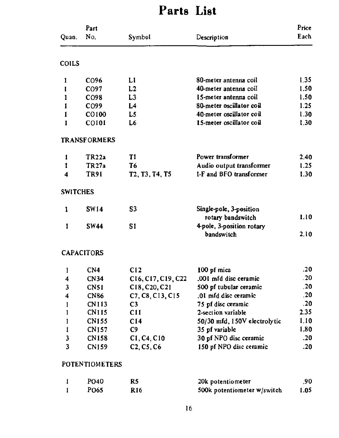# Parts List

|                 | Part                |                                                                   | Price                                   |      |
|-----------------|---------------------|-------------------------------------------------------------------|-----------------------------------------|------|
| Quan.           | No.                 | Symbol                                                            | Description                             | Each |
| <b>COILS</b>    |                     |                                                                   |                                         |      |
|                 | CO <sub>96</sub>    | Ll                                                                | 80-meter antenna coil                   | 1.35 |
|                 | CO <sub>97</sub>    | L2                                                                | 40-meter antenna coil                   | 1.50 |
|                 | CO <sub>98</sub>    | L <sub>3</sub>                                                    | 15-meter antenna coil                   | 1.50 |
|                 | CO <sub>99</sub>    | L4                                                                | 80-meter oscillator coil                | 1.25 |
|                 | CO100               | L5                                                                | 40-meter oscillator coil                | 1.30 |
|                 | <b>CO101</b>        | L6                                                                | 15-meter oscillator coil                | 1.30 |
|                 | <b>TRANSFORMERS</b> |                                                                   |                                         |      |
|                 | TR <sub>22</sub> a  | T1                                                                | Power transformer                       | 2.40 |
|                 | TR <sub>27a</sub>   | T6                                                                | Audio output transformer                | 1.25 |
| 4               | TR91                | T <sub>2</sub> , T <sub>3</sub> , T <sub>4</sub> , T <sub>5</sub> | 1-F and BFO transformer                 | 1.30 |
| <b>SWITCHES</b> |                     |                                                                   |                                         |      |
|                 | <b>SW14</b>         | S <sub>3</sub>                                                    | Single-pole, 3-position                 | 1.10 |
|                 |                     |                                                                   | rotary bandswitch                       |      |
|                 | <b>SW44</b>         | S1                                                                | 4-pole, 3-position rotary<br>bandswitch | 2.10 |

|                         | <b>SWITCHES</b>   |                                                     |                                              |      |
|-------------------------|-------------------|-----------------------------------------------------|----------------------------------------------|------|
|                         | <b>SW14</b>       | S <sub>3</sub>                                      | Single-pole, 3-position<br>rotary bandswitch | 1.10 |
|                         | <b>SW44</b>       | S1                                                  | 4-pole, 3-position rotary<br>bandswitch      | 2.10 |
|                         | <b>CAPACITORS</b> |                                                     |                                              |      |
|                         | CN <sub>4</sub>   | C12                                                 | 100 pf mica                                  | .20  |
| $\boldsymbol{4}$        | <b>CN34</b>       | C16, C17, C19, C22                                  | .001 mfd disc ceramic                        | .20  |
| $\overline{\mathbf{3}}$ | <b>CN51</b>       | C <sub>18</sub> , C <sub>20</sub> , C <sub>21</sub> | 500 pf tubular ceramic                       | .20  |
| 4                       | <b>CN86</b>       | C7, C8, C13, C15                                    | .01 mfd disc ceramic                         | .20  |
|                         | <b>CN113</b>      | C3                                                  | 75 pf disc ceramic                           | .20  |
|                         | <b>CN115</b>      | C11                                                 | 2-section variable                           | 2.35 |
|                         | <b>CN155</b>      | C <sub>14</sub>                                     | 50/30 mfd, 150V electrolytic                 | 1.10 |
|                         | <b>CN157</b>      | C <sub>9</sub>                                      | 35 pf variable                               | 1.80 |
| 3                       | CN158             | C1, C4, C10                                         | 30 pf NPO disc ceramic                       | .20  |
| 3                       | <b>CN159</b>      | $C2, C5, C6$                                        | 150 pf NPO disc ceramic                      | .20  |
|                         | POTENTIOMETERS    |                                                     |                                              |      |
|                         | PO <sub>40</sub>  | R5                                                  | 20k potentiometer                            | .90  |
|                         | PO65              | R <sub>16</sub>                                     | 500k potentiometer w/switch                  | 1.05 |
|                         |                   | 16                                                  |                                              |      |
|                         |                   |                                                     |                                              |      |
|                         |                   |                                                     |                                              |      |

## CAPACITORS

### POTENTIOMETERS

| <b>PO40</b> |     | 20k potentiometer           | .90  |
|-------------|-----|-----------------------------|------|
| PO65        | R16 | 500k potentiometer w/switch | 1.05 |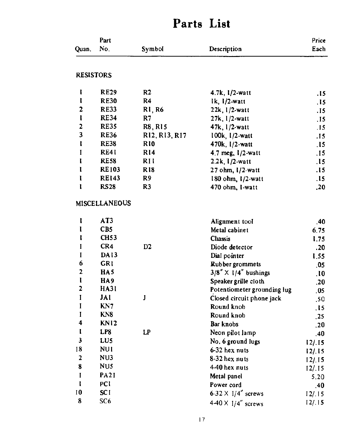|                  | Part                 |                 |                                     | Price |
|------------------|----------------------|-----------------|-------------------------------------|-------|
| Quan.            | No.                  | Symbol          | Description                         | Each  |
| <b>RESISTORS</b> |                      |                 |                                     |       |
|                  | <b>RE29</b>          | R <sub>2</sub>  | $4.7k, 1/2$ -watt                   | .15   |
|                  | <b>RE30</b>          | R <sub>4</sub>  | $lk, 1/2$ -watt                     | .15   |
| 2                | <b>RE33</b>          | RI, R6          | $22k$ , $1/2$ -watt                 | .15   |
|                  | <b>RE34</b>          | R7              | $27k, 1/2$ -watt                    | .15   |
| 2                | <b>RE35</b>          | <b>R8, R15</b>  | $47k, 1/2$ -watt                    | .15   |
| 3                | <b>RE36</b>          | R12, R13, R17   | $100k$ , $1/2$ -watt                | .15   |
|                  | <b>RE38</b>          | R <sub>10</sub> | $470k, 1/2$ -watt                   | .15   |
|                  | RE41                 | R <sub>14</sub> | 4.7 meg, $1/2$ -watt                | .15   |
|                  | <b>RE58</b>          | <b>RII</b>      | $2.2k$ , $1/2$ -watt                | .15   |
|                  | <b>RE103</b>         | <b>R18</b>      | $27 \text{ ohm}, \frac{1}{2}$ -watt | .15   |
|                  | <b>RE143</b>         | R9              | $180$ ohm, $1/2$ -watt              | .15   |
|                  | <b>RS28</b>          | R <sub>3</sub>  | 470 ohm, I-watt                     | .20   |
|                  | <b>MISCELLANEOUS</b> |                 |                                     |       |
|                  | AT <sub>3</sub>      |                 | Alignment tool                      | .40   |
|                  | CB <sub>5</sub>      |                 | Metal cabinet                       | 6.75  |

# Parts List

|    | AT3             |                | Alignment tool                | .40              |
|----|-----------------|----------------|-------------------------------|------------------|
|    | CB <sub>5</sub> |                | Metal cabinet                 | 6.75             |
|    | <b>CH53</b>     |                | <b>Chassis</b>                | 1.75             |
|    | CR4             | D <sub>2</sub> | Diode detector                | .20              |
|    | DA13            |                | Dial pointer                  | I.55             |
| 6  | <b>GRI</b>      |                | Rubber grommets               | .05              |
| 2  | HA5             |                | $3/8'' \times 1/4''$ bushings | $\bf .10$        |
|    | HA <sub>9</sub> |                | Speaker grille cloth          | .20              |
|    | HA31            |                | Potentiometer grounding jug   | .05              |
|    | JAI             | J              | Closed circuit phone jack     | .50              |
|    | KN7             |                | Round knob                    | .15              |
|    | KN <sub>8</sub> |                | Round knob                    | $\overline{.25}$ |
| 4  | KN12            |                | Bar knobs                     | .20              |
|    | LP8             | LP             | Neon pilot lamp               | .40              |
| 3  | LU <sub>5</sub> |                | No. 6 ground lugs             | 12/.15           |
| 18 | <b>NUI</b>      |                | 6-32 hex nuts                 | 12/15            |
| 2  | NU3             |                | $8-32$ hex nuts               | 12/15            |
| 8  | <b>NUS</b>      |                | 4-40 hex nuts                 | 12/.15           |
|    | PA21            |                | Metal panel                   | 5.20             |
|    | <b>PCI</b>      |                | Power cord                    | .40              |
| 10 | <b>SCI</b>      |                | 6-32 $\times$ I/4" screws     | 12/15            |
| 8  | SC <sub>6</sub> |                | $4.40 \times 1/4$ screws      | 12/15            |